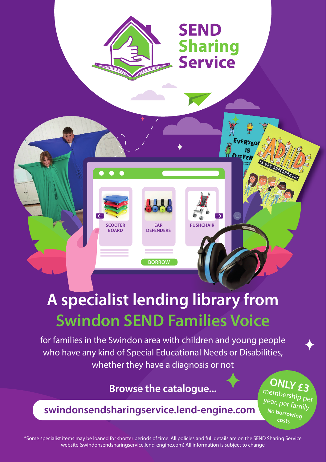

## **A specialist lending library from Swindon SEND Families Voice**

**BORROW**

for families in the Swindon area with children and young people who have any kind of Special Educational Needs or Disabilities, whether they have a diagnosis or not

## **Browse the catalogue...**

**swindonsendsharingservice.lend-engine.com**

**ONLY £3** 

membership per year, per family **No borrowing costs**

\*Some specialist items may be loaned for shorter periods of time. All policies and full details are on the SEND Sharing Service website (swindonsendsharingservice.lend-engine.com) All information is subject to change